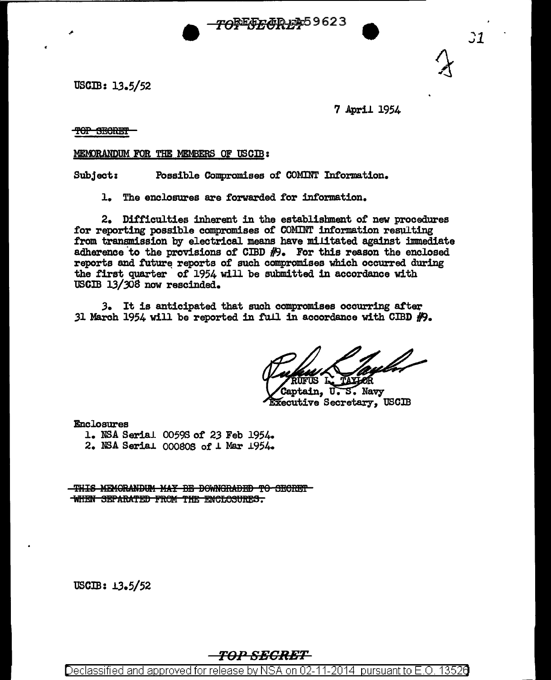

uscm: 13.5/52

7 April 1954

TOP SECRET

MEMORANDUM FOR THE MEMBERS OF USCIB:

Subject: Possible Compromises of COMINT Information.

1. The enclosures are forwarded for information.

2. Difficulties inherent in the establishment of new procedures tor reporting possible compromises of COMINT information resulting from transmission by electrical means have militated against immediate adherence to the provisions of CIBD  $#$ 9. For this reason the enclosed reports and future reports of such compromises which occurred during the first quarter of 1954 will be submitted in accordance with USCIB 13/308 now rescinded.

 $3.$  It is anticipated that such compromises occurring after 31 March 1954 will be reported in full in accordance with CIBD  $\#9$ .

aptain, U.S. Navy Executive Secretary, USCIB

Enclosures 1. NSA Serial 00593 *ot 23* Feb 1954. 2. NSA Serial  $00080S$  of  $\perp$  Mar 1954.

THIS MEMORANDUM MAY BE DOWNGRADED TO SECRET WHEN SEPARATED FROM THE ENCLOSURES.

 $USCIB: 13.5/52$ 

TOP SECRET

Declassified and approved for release by NSA on 02-11-2014 pursuant to E.O. 13526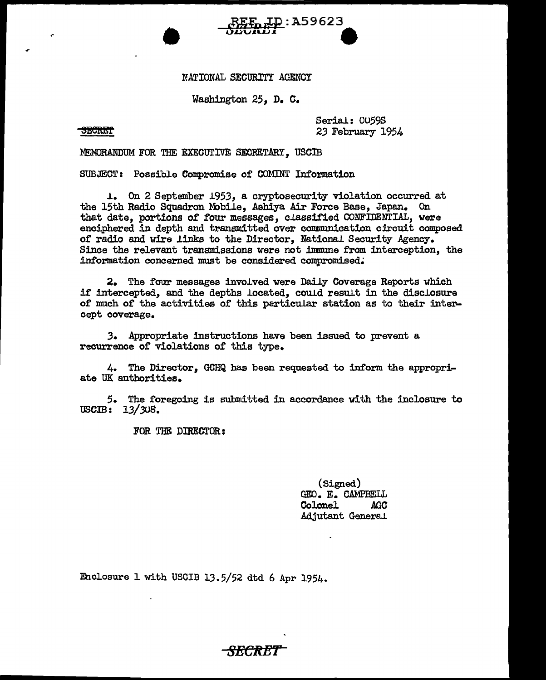## NATIONAL SECURITY AGENCY

<u>ID</u>: A59623

Washington 25, D. C.

Serial: 0059S *23* February 1954

MEMORANDUM FOR THE EXECUTIVE SECRETARY, USCIB

•

SUBJECT: Possible Compromise of COMINT Information

1. On 2 September 1953, a cryptosecurity violation occurred at the 15th Radio Squadron Mobile, Ashiya Air Force Base, Japan. On that date, portions of four messages, classified CONFIDENTIAL, were enciphered in depth and transmitted over communication circuit composed of radio and wire links to the Director, National. Security Agency. Since the relevant transmissions were not immune from interception, the information concerned must be considered compromised.

2. The four messages involved were Daily Coverage Reports which if intercepted, and the depths located, could result in the disclosure of much of the activities of this particular station as to their intercept coverage.

*3.* Appropriate instructions have been issued to prevent a recurrence of violations of this type.

4. The Director, GCHQ has been requested to inform the appropriate UK authorities.

5. The foregoing is submitted in accordance with the inclosure to  $USCIB: 13/308.$ 

FOR THE DIRECTOR:

(Signed) GEO. E. CAMPBELL Colonel Adjutant General.

Enclosure l with USCIB lJ.5/52 dtd 6 Apr 1954.

-<del>SECRET -</del>

## **SECRET**